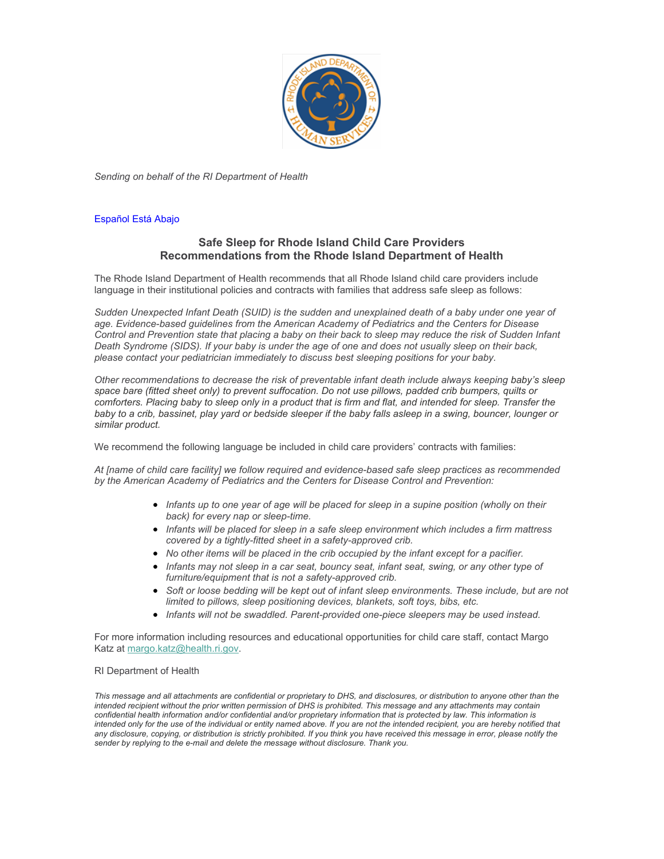

*Sending on behalf of the RI Department of Health*

### Español Está Abajo

# **Safe Sleep for Rhode Island Child Care Providers Recommendations from the Rhode Island Department of Health**

The Rhode Island Department of Health recommends that all Rhode Island child care providers include language in their institutional policies and contracts with families that address safe sleep as follows:

*Sudden Unexpected Infant Death (SUID) is the sudden and unexplained death of a baby under one year of age. Evidence-based guidelines from the American Academy of Pediatrics and the Centers for Disease Control and Prevention state that placing a baby on their back to sleep may reduce the risk of Sudden Infant Death Syndrome (SIDS). If your baby is under the age of one and does not usually sleep on their back, please contact your pediatrician immediately to discuss best sleeping positions for your baby.*

*Other recommendations to decrease the risk of preventable infant death include always keeping baby's sleep space bare (fitted sheet only) to prevent suffocation. Do not use pillows, padded crib bumpers, quilts or comforters. Placing baby to sleep only in a product that is firm and flat, and intended for sleep. Transfer the baby to a crib, bassinet, play yard or bedside sleeper if the baby falls asleep in a swing, bouncer, lounger or similar product.*

We recommend the following language be included in child care providers' contracts with families:

*At [name of child care facility] we follow required and evidence-based safe sleep practices as recommended by the American Academy of Pediatrics and the Centers for Disease Control and Prevention:*

- *Infants up to one year of age will be placed for sleep in a supine position (wholly on their back) for every nap or sleep-time.*
- *Infants will be placed for sleep in a safe sleep environment which includes a firm mattress covered by a tightly-fitted sheet in a safety-approved crib.*
- *No other items will be placed in the crib occupied by the infant except for a pacifier.*
- *Infants may not sleep in a car seat, bouncy seat, infant seat, swing, or any other type of furniture/equipment that is not a safety-approved crib.*
- *Soft or loose bedding will be kept out of infant sleep environments. These include, but are not limited to pillows, sleep positioning devices, blankets, soft toys, bibs, etc.*
- *Infants will not be swaddled. Parent-provided one-piece sleepers may be used instead.*

For more information including resources and educational opportunities for child care staff, contact Margo Katz at [margo.katz@health.ri.gov.](mailto:margo.katz@health.ri.gov)

#### RI Department of Health

*This message and all attachments are confidential or proprietary to DHS, and disclosures, or distribution to anyone other than the*  intended recipient without the prior written permission of DHS is prohibited. This message and any attachments may contain *confidential health information and/or confidential and/or proprietary information that is protected by law. This information is intended only for the use of the individual or entity named above. If you are not the intended recipient, you are hereby notified that any disclosure, copying, or distribution is strictly prohibited. If you think you have received this message in error, please notify the sender by replying to the e-mail and delete the message without disclosure. Thank you.*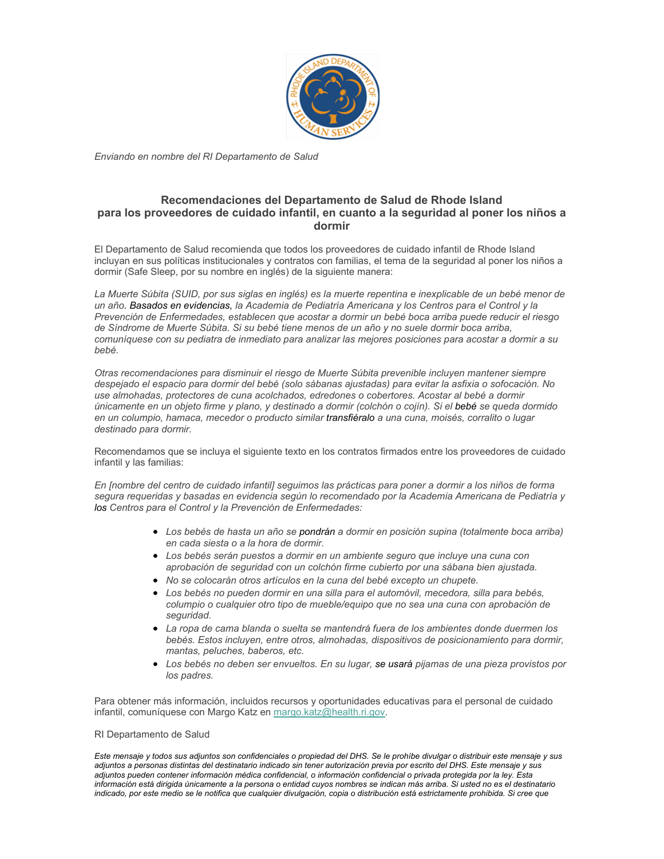

*Enviando en nombre del RI Departamento de Salud*

# **Recomendaciones del Departamento de Salud de Rhode Island para los proveedores de cuidado infantil, en cuanto a la seguridad al poner los niños a dormir**

El Departamento de Salud recomienda que todos los proveedores de cuidado infantil de Rhode Island incluyan en sus políticas institucionales y contratos con familias, el tema de la seguridad al poner los niños a dormir (Safe Sleep, por su nombre en inglés) de la siguiente manera:

*La Muerte Súbita (SUID, por sus siglas en inglés) es la muerte repentina e inexplicable de un bebé menor de un año. Basados en evidencias, la Academia de Pediatría Americana y los Centros para el Control y la Prevención de Enfermedades, establecen que acostar a dormir un bebé boca arriba puede reducir el riesgo de Síndrome de Muerte Súbita. Si su bebé tiene menos de un año y no suele dormir boca arriba, comuníquese con su pediatra de inmediato para analizar las mejores posiciones para acostar a dormir a su bebé.*

*Otras recomendaciones para disminuir el riesgo de Muerte Súbita prevenible incluyen mantener siempre despejado el espacio para dormir del bebé (solo sábanas ajustadas) para evitar la asfixia o sofocación. No use almohadas, protectores de cuna acolchados, edredones o cobertores. Acostar al bebé a dormir únicamente en un objeto firme y plano, y destinado a dormir (colchón o cojín). Si el bebé se queda dormido en un columpio, hamaca, mecedor o producto similar transfiéralo a una cuna, moisés, corralito o lugar destinado para dormir.*

Recomendamos que se incluya el siguiente texto en los contratos firmados entre los proveedores de cuidado infantil y las familias:

*En [nombre del centro de cuidado infantil] seguimos las prácticas para poner a dormir a los niños de forma segura requeridas y basadas en evidencia según lo recomendado por la Academia Americana de Pediatría y los Centros para el Control y la Prevención de Enfermedades:*

- *Los bebés de hasta un año se pondrán a dormir en posición supina (totalmente boca arriba) en cada siesta o a la hora de dormir.*
- *Los bebés serán puestos a dormir en un ambiente seguro que incluye una cuna con aprobación de seguridad con un colchón firme cubierto por una sábana bien ajustada.*
- *No se colocarán otros artículos en la cuna del bebé excepto un chupete.*
- *Los bebés no pueden dormir en una silla para el automóvil, mecedora, silla para bebés, columpio o cualquier otro tipo de mueble/equipo que no sea una cuna con aprobación de seguridad.*
- *La ropa de cama blanda o suelta se mantendrá fuera de los ambientes donde duermen los bebés. Estos incluyen, entre otros, almohadas, dispositivos de posicionamiento para dormir, mantas, peluches, baberos, etc.*
- *Los bebés no deben ser envueltos. En su lugar, se usará pijamas de una pieza provistos por los padres.*

Para obtener más información, incluidos recursos y oportunidades educativas para el personal de cuidado infantil, comuníquese con Margo Katz en [margo.katz@health.ri.gov.](mailto:margo.katz@health.ri.gov)

### RI Departamento de Salud

*Este mensaje y todos sus adjuntos son confidenciales o propiedad del DHS. Se le prohíbe divulgar o distribuir este mensaje y sus adjuntos a personas distintas del destinatario indicado sin tener autorización previa por escrito del DHS. Este mensaje y sus adjuntos pueden contener información médica confidencial, o información confidencial o privada protegida por la ley. Esta información está dirigida únicamente a la persona o entidad cuyos nombres se indican más arriba. Si usted no es el destinatario indicado, por este medio se le notifica que cualquier divulgación, copia o distribución está estrictamente prohibida. Si cree que*